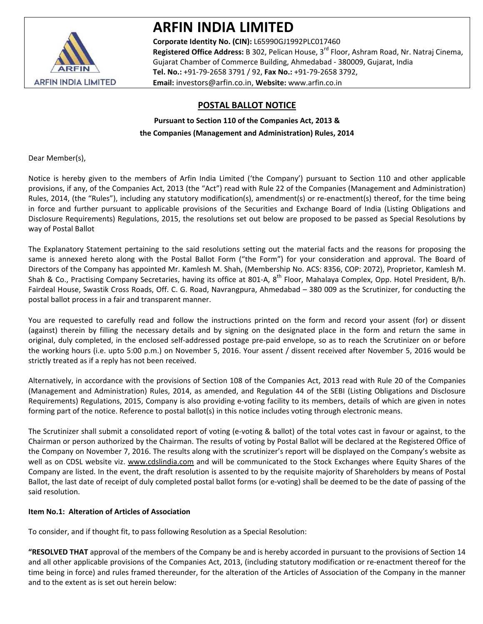

# **ARFIN INDIA LIMITED**

**Corporate Identity No. (CIN):** L65990GJ1992PLC017460 **Registered Office Address:** B 302, Pelican House, 3rd Floor, Ashram Road, Nr. Natraj Cinema, Gujarat Chamber of Commerce Building, Ahmedabad ‐ 380009, Gujarat, India **Tel. No.:** +91‐79‐2658 3791 / 92, **Fax No.:** +91‐79‐2658 3792, **Email:** investors@arfin.co.in, **Website:** www.arfin.co.in

## **POSTAL BALLOT NOTICE**

## **Pursuant to Section 110 of the Companies Act, 2013 & the Companies (Management and Administration) Rules, 2014**

Dear Member(s),

Notice is hereby given to the members of Arfin India Limited ('the Company') pursuant to Section 110 and other applicable provisions, if any, of the Companies Act, 2013 (the "Act") read with Rule 22 of the Companies (Management and Administration) Rules, 2014, (the "Rules"), including any statutory modification(s), amendment(s) or re-enactment(s) thereof, for the time being in force and further pursuant to applicable provisions of the Securities and Exchange Board of India (Listing Obligations and Disclosure Requirements) Regulations, 2015, the resolutions set out below are proposed to be passed as Special Resolutions by way of Postal Ballot

The Explanatory Statement pertaining to the said resolutions setting out the material facts and the reasons for proposing the same is annexed hereto along with the Postal Ballot Form ("the Form") for your consideration and approval. The Board of Directors of the Company has appointed Mr. Kamlesh M. Shah, (Membership No. ACS: 8356, COP: 2072), Proprietor, Kamlesh M. Shah & Co., Practising Company Secretaries, having its office at 801-A, 8<sup>th</sup> Floor, Mahalaya Complex, Opp. Hotel President, B/h. Fairdeal House, Swastik Cross Roads, Off. C. G. Road, Navrangpura, Ahmedabad – 380 009 as the Scrutinizer, for conducting the postal ballot process in a fair and transparent manner.

You are requested to carefully read and follow the instructions printed on the form and record your assent (for) or dissent (against) therein by filling the necessary details and by signing on the designated place in the form and return the same in original, duly completed, in the enclosed self‐addressed postage pre‐paid envelope, so as to reach the Scrutinizer on or before the working hours (i.e. upto 5:00 p.m.) on November 5, 2016. Your assent / dissent received after November 5, 2016 would be strictly treated as if a reply has not been received.

Alternatively, in accordance with the provisions of Section 108 of the Companies Act, 2013 read with Rule 20 of the Companies (Management and Administration) Rules, 2014, as amended, and Regulation 44 of the SEBI (Listing Obligations and Disclosure Requirements) Regulations, 2015, Company is also providing e‐voting facility to its members, details of which are given in notes forming part of the notice. Reference to postal ballot(s) in this notice includes voting through electronic means.

The Scrutinizer shall submit a consolidated report of voting (e-voting & ballot) of the total votes cast in favour or against, to the Chairman or person authorized by the Chairman. The results of voting by Postal Ballot will be declared at the Registered Office of the Company on November 7, 2016. The results along with the scrutinizer's report will be displayed on the Company's website as well as on CDSL website viz. www.cdslindia.com and will be communicated to the Stock Exchanges where Equity Shares of the Company are listed. In the event, the draft resolution is assented to by the requisite majority of Shareholders by means of Postal Ballot, the last date of receipt of duly completed postal ballot forms (or e‐voting) shall be deemed to be the date of passing of the said resolution.

## **Item No.1: Alteration of Articles of Association**

To consider, and if thought fit, to pass following Resolution as a Special Resolution:

**"RESOLVED THAT** approval of the members of the Company be and is hereby accorded in pursuant to the provisions of Section 14 and all other applicable provisions of the Companies Act, 2013, (including statutory modification or re-enactment thereof for the time being in force) and rules framed thereunder, for the alteration of the Articles of Association of the Company in the manner and to the extent as is set out herein below: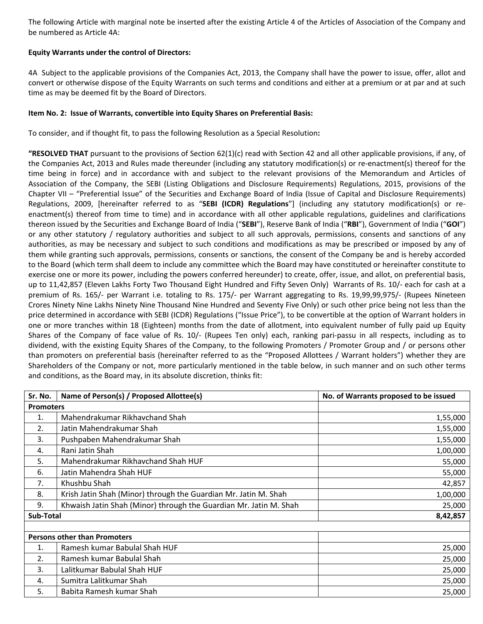The following Article with marginal note be inserted after the existing Article 4 of the Articles of Association of the Company and be numbered as Article 4A:

#### **Equity Warrants under the control of Directors:**

4A Subject to the applicable provisions of the Companies Act, 2013, the Company shall have the power to issue, offer, allot and convert or otherwise dispose of the Equity Warrants on such terms and conditions and either at a premium or at par and at such time as may be deemed fit by the Board of Directors.

#### **Item No. 2: Issue of Warrants, convertible into Equity Shares on Preferential Basis:**

To consider, and if thought fit, to pass the following Resolution as a Special Resolution**:**

**"RESOLVED THAT** pursuant to the provisions of Section 62(1)(c) read with Section 42 and all other applicable provisions, if any, of the Companies Act, 2013 and Rules made thereunder (including any statutory modification(s) or re-enactment(s) thereof for the time being in force) and in accordance with and subject to the relevant provisions of the Memorandum and Articles of Association of the Company, the SEBI (Listing Obligations and Disclosure Requirements) Regulations, 2015, provisions of the Chapter VII – "Preferential Issue" of the Securities and Exchange Board of India (Issue of Capital and Disclosure Requirements) Regulations, 2009, [hereinafter referred to as "**SEBI (ICDR) Regulations**"] (including any statutory modification(s) or re‐ enactment(s) thereof from time to time) and in accordance with all other applicable regulations, guidelines and clarifications thereon issued by the Securities and Exchange Board of India ("**SEBI**"), Reserve Bank of India ("**RBI**"), Government of India ("**GOI**") or any other statutory / regulatory authorities and subject to all such approvals, permissions, consents and sanctions of any authorities, as may be necessary and subject to such conditions and modifications as may be prescribed or imposed by any of them while granting such approvals, permissions, consents or sanctions, the consent of the Company be and is hereby accorded to the Board (which term shall deem to include any committee which the Board may have constituted or hereinafter constitute to exercise one or more its power, including the powers conferred hereunder) to create, offer, issue, and allot, on preferential basis, up to 11,42,857 (Eleven Lakhs Forty Two Thousand Eight Hundred and Fifty Seven Only) Warrants of Rs. 10/- each for cash at a premium of Rs. 165/- per Warrant i.e. totaling to Rs. 175/- per Warrant aggregating to Rs. 19,99,99,975/- (Rupees Nineteen Crores Ninety Nine Lakhs Ninety Nine Thousand Nine Hundred and Seventy Five Only) or such other price being not less than the price determined in accordance with SEBI (ICDR) Regulations ("Issue Price"), to be convertible at the option of Warrant holders in one or more tranches within 18 (Eighteen) months from the date of allotment, into equivalent number of fully paid up Equity Shares of the Company of face value of Rs. 10/‐ (Rupees Ten only) each, ranking pari‐passu in all respects, including as to dividend, with the existing Equity Shares of the Company, to the following Promoters / Promoter Group and / or persons other than promoters on preferential basis (hereinafter referred to as the "Proposed Allottees / Warrant holders") whether they are Shareholders of the Company or not, more particularly mentioned in the table below, in such manner and on such other terms and conditions, as the Board may, in its absolute discretion, thinks fit:

| Sr. No.          | Name of Person(s) / Proposed Allottee(s)                          | No. of Warrants proposed to be issued |  |  |
|------------------|-------------------------------------------------------------------|---------------------------------------|--|--|
| <b>Promoters</b> |                                                                   |                                       |  |  |
| 1.               | Mahendrakumar Rikhavchand Shah                                    | 1,55,000                              |  |  |
| 2.               | Jatin Mahendrakumar Shah                                          | 1,55,000                              |  |  |
| 3.               | Pushpaben Mahendrakumar Shah                                      | 1,55,000                              |  |  |
| 4.               | Rani Jatin Shah                                                   | 1,00,000                              |  |  |
| 5.               | Mahendrakumar Rikhavchand Shah HUF                                | 55,000                                |  |  |
| 6.               | Jatin Mahendra Shah HUF                                           | 55,000                                |  |  |
| 7.               | Khushbu Shah                                                      | 42,857                                |  |  |
| 8.               | Krish Jatin Shah (Minor) through the Guardian Mr. Jatin M. Shah   | 1,00,000                              |  |  |
| 9.               | Khwaish Jatin Shah (Minor) through the Guardian Mr. Jatin M. Shah | 25,000                                |  |  |
| Sub-Total        |                                                                   | 8,42,857                              |  |  |
|                  |                                                                   |                                       |  |  |
|                  | <b>Persons other than Promoters</b>                               |                                       |  |  |
| 1.               | Ramesh kumar Babulal Shah HUF                                     | 25,000                                |  |  |
| 2.               | Ramesh kumar Babulal Shah                                         | 25,000                                |  |  |
| 3.               | Lalitkumar Babulal Shah HUF                                       | 25,000                                |  |  |
| 4.               | Sumitra Lalitkumar Shah                                           | 25,000                                |  |  |
| 5.               | Babita Ramesh kumar Shah                                          | 25,000                                |  |  |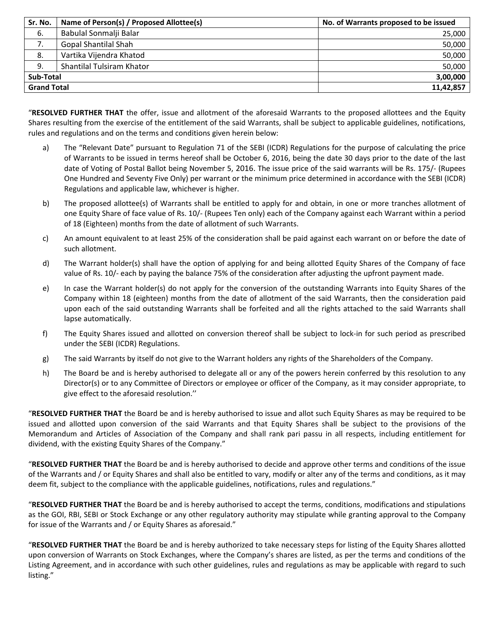| Sr. No.            | Name of Person(s) / Proposed Allottee(s) | No. of Warrants proposed to be issued |
|--------------------|------------------------------------------|---------------------------------------|
| -6.                | Babulal Sonmalji Balar                   | 25,000                                |
| 7.                 | <b>Gopal Shantilal Shah</b>              | 50,000                                |
| 8.                 | Vartika Vijendra Khatod                  | 50,000                                |
| 9.                 | Shantilal Tulsiram Khator                | 50,000                                |
| Sub-Total          |                                          | 3,00,000                              |
| <b>Grand Total</b> |                                          | 11,42,857                             |

"**RESOLVED FURTHER THAT** the offer, issue and allotment of the aforesaid Warrants to the proposed allottees and the Equity Shares resulting from the exercise of the entitlement of the said Warrants, shall be subject to applicable guidelines, notifications, rules and regulations and on the terms and conditions given herein below:

- a) The "Relevant Date" pursuant to Regulation 71 of the SEBI (ICDR) Regulations for the purpose of calculating the price of Warrants to be issued in terms hereof shall be October 6, 2016, being the date 30 days prior to the date of the last date of Voting of Postal Ballot being November 5, 2016. The issue price of the said warrants will be Rs. 175/- (Rupees One Hundred and Seventy Five Only) per warrant or the minimum price determined in accordance with the SEBI (ICDR) Regulations and applicable law, whichever is higher.
- b) The proposed allottee(s) of Warrants shall be entitled to apply for and obtain, in one or more tranches allotment of one Equity Share of face value of Rs. 10/‐ (Rupees Ten only) each of the Company against each Warrant within a period of 18 (Eighteen) months from the date of allotment of such Warrants.
- c) An amount equivalent to at least 25% of the consideration shall be paid against each warrant on or before the date of such allotment.
- d) The Warrant holder(s) shall have the option of applying for and being allotted Equity Shares of the Company of face value of Rs. 10/- each by paying the balance 75% of the consideration after adjusting the upfront payment made.
- e) In case the Warrant holder(s) do not apply for the conversion of the outstanding Warrants into Equity Shares of the Company within 18 (eighteen) months from the date of allotment of the said Warrants, then the consideration paid upon each of the said outstanding Warrants shall be forfeited and all the rights attached to the said Warrants shall lapse automatically.
- f) The Equity Shares issued and allotted on conversion thereof shall be subject to lock‐in for such period as prescribed under the SEBI (ICDR) Regulations.
- g) The said Warrants by itself do not give to the Warrant holders any rights of the Shareholders of the Company.
- h) The Board be and is hereby authorised to delegate all or any of the powers herein conferred by this resolution to any Director(s) or to any Committee of Directors or employee or officer of the Company, as it may consider appropriate, to give effect to the aforesaid resolution.''

"**RESOLVED FURTHER THAT** the Board be and is hereby authorised to issue and allot such Equity Shares as may be required to be issued and allotted upon conversion of the said Warrants and that Equity Shares shall be subject to the provisions of the Memorandum and Articles of Association of the Company and shall rank pari passu in all respects, including entitlement for dividend, with the existing Equity Shares of the Company."

"**RESOLVED FURTHER THAT** the Board be and is hereby authorised to decide and approve other terms and conditions of the issue of the Warrants and / or Equity Shares and shall also be entitled to vary, modify or alter any of the terms and conditions, as it may deem fit, subject to the compliance with the applicable guidelines, notifications, rules and regulations."

"**RESOLVED FURTHER THAT** the Board be and is hereby authorised to accept the terms, conditions, modifications and stipulations as the GOI, RBI, SEBI or Stock Exchange or any other regulatory authority may stipulate while granting approval to the Company for issue of the Warrants and / or Equity Shares as aforesaid."

"**RESOLVED FURTHER THAT** the Board be and is hereby authorized to take necessary steps for listing of the Equity Shares allotted upon conversion of Warrants on Stock Exchanges, where the Company's shares are listed, as per the terms and conditions of the Listing Agreement, and in accordance with such other guidelines, rules and regulations as may be applicable with regard to such listing."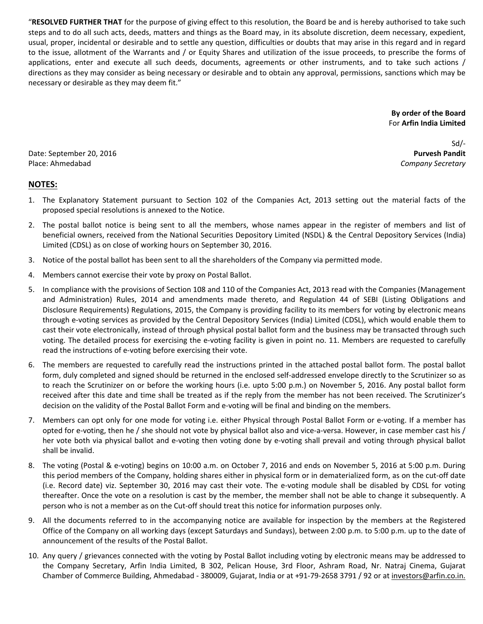"**RESOLVED FURTHER THAT** for the purpose of giving effect to this resolution, the Board be and is hereby authorised to take such steps and to do all such acts, deeds, matters and things as the Board may, in its absolute discretion, deem necessary, expedient, usual, proper, incidental or desirable and to settle any question, difficulties or doubts that may arise in this regard and in regard to the issue, allotment of the Warrants and / or Equity Shares and utilization of the issue proceeds, to prescribe the forms of applications, enter and execute all such deeds, documents, agreements or other instruments, and to take such actions / directions as they may consider as being necessary or desirable and to obtain any approval, permissions, sanctions which may be necessary or desirable as they may deem fit."

> **By order of the Board** For **Arfin India Limited**

Date: September 20, 2016 Place: Ahmedabad

Sd/‐ **Purvesh Pandit** *Company Secretary*

## **NOTES:**

- 1. The Explanatory Statement pursuant to Section 102 of the Companies Act, 2013 setting out the material facts of the proposed special resolutions is annexed to the Notice.
- 2. The postal ballot notice is being sent to all the members, whose names appear in the register of members and list of beneficial owners, received from the National Securities Depository Limited (NSDL) & the Central Depository Services (India) Limited (CDSL) as on close of working hours on September 30, 2016.
- 3. Notice of the postal ballot has been sent to all the shareholders of the Company via permitted mode.
- 4. Members cannot exercise their vote by proxy on Postal Ballot.
- 5. In compliance with the provisions of Section 108 and 110 of the Companies Act, 2013 read with the Companies (Management and Administration) Rules, 2014 and amendments made thereto, and Regulation 44 of SEBI (Listing Obligations and Disclosure Requirements) Regulations, 2015, the Company is providing facility to its members for voting by electronic means through e‐voting services as provided by the Central Depository Services (India) Limited (CDSL), which would enable them to cast their vote electronically, instead of through physical postal ballot form and the business may be transacted through such voting. The detailed process for exercising the e‐voting facility is given in point no. 11. Members are requested to carefully read the instructions of e‐voting before exercising their vote.
- 6. The members are requested to carefully read the instructions printed in the attached postal ballot form. The postal ballot form, duly completed and signed should be returned in the enclosed self-addressed envelope directly to the Scrutinizer so as to reach the Scrutinizer on or before the working hours (i.e. upto 5:00 p.m.) on November 5, 2016. Any postal ballot form received after this date and time shall be treated as if the reply from the member has not been received. The Scrutinizer's decision on the validity of the Postal Ballot Form and e‐voting will be final and binding on the members.
- 7. Members can opt only for one mode for voting i.e. either Physical through Postal Ballot Form or e‐voting. If a member has opted for e-voting, then he / she should not vote by physical ballot also and vice-a-versa. However, in case member cast his / her vote both via physical ballot and e-voting then voting done by e-voting shall prevail and voting through physical ballot shall be invalid.
- 8. The voting (Postal & e-voting) begins on 10:00 a.m. on October 7, 2016 and ends on November 5, 2016 at 5:00 p.m. During this period members of the Company, holding shares either in physical form or in dematerialized form, as on the cut‐off date (i.e. Record date) viz. September 30, 2016 may cast their vote. The e‐voting module shall be disabled by CDSL for voting thereafter. Once the vote on a resolution is cast by the member, the member shall not be able to change it subsequently. A person who is not a member as on the Cut-off should treat this notice for information purposes only.
- 9. All the documents referred to in the accompanying notice are available for inspection by the members at the Registered Office of the Company on all working days (except Saturdays and Sundays), between 2:00 p.m. to 5:00 p.m. up to the date of announcement of the results of the Postal Ballot.
- 10. Any query / grievances connected with the voting by Postal Ballot including voting by electronic means may be addressed to the Company Secretary, Arfin India Limited, B 302, Pelican House, 3rd Floor, Ashram Road, Nr. Natraj Cinema, Gujarat Chamber of Commerce Building, Ahmedabad - 380009, Gujarat, India or at +91-79-2658 3791 / 92 or at investors@arfin.co.in.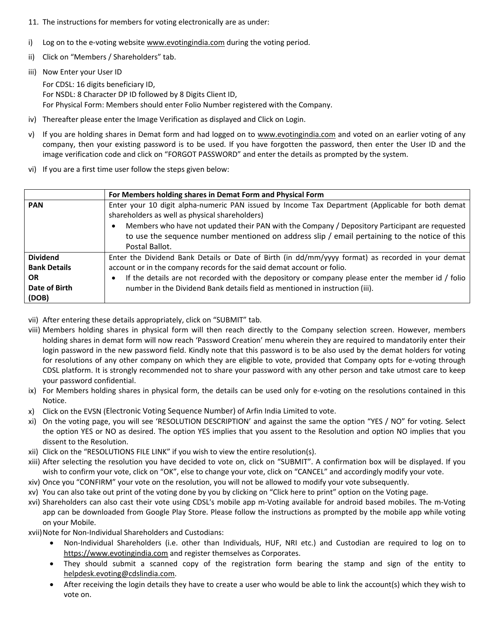- 11. The instructions for members for voting electronically are as under:
- i) Log on to the e-voting website www.evotingindia.com during the voting period.
- ii) Click on "Members / Shareholders" tab.
- iii) Now Enter your User ID

For CDSL: 16 digits beneficiary ID, For NSDL: 8 Character DP ID followed by 8 Digits Client ID, For Physical Form: Members should enter Folio Number registered with the Company.

- iv) Thereafter please enter the Image Verification as displayed and Click on Login.
- v) If you are holding shares in Demat form and had logged on to www.evotingindia.com and voted on an earlier voting of any company, then your existing password is to be used. If you have forgotten the password, then enter the User ID and the image verification code and click on "FORGOT PASSWORD" and enter the details as prompted by the system.
- vi) If you are a first time user follow the steps given below:

|                     | For Members holding shares in Demat Form and Physical Form                                                                                         |  |  |  |  |
|---------------------|----------------------------------------------------------------------------------------------------------------------------------------------------|--|--|--|--|
| <b>PAN</b>          | Enter your 10 digit alpha-numeric PAN issued by Income Tax Department (Applicable for both demat<br>shareholders as well as physical shareholders) |  |  |  |  |
|                     | Members who have not updated their PAN with the Company / Depository Participant are requested                                                     |  |  |  |  |
|                     | to use the sequence number mentioned on address slip / email pertaining to the notice of this                                                      |  |  |  |  |
|                     | Postal Ballot.                                                                                                                                     |  |  |  |  |
| <b>Dividend</b>     | Enter the Dividend Bank Details or Date of Birth (in dd/mm/yyyy format) as recorded in your demat                                                  |  |  |  |  |
| <b>Bank Details</b> | account or in the company records for the said demat account or folio.                                                                             |  |  |  |  |
| <b>OR</b>           | If the details are not recorded with the depository or company please enter the member id / folio                                                  |  |  |  |  |
| Date of Birth       | number in the Dividend Bank details field as mentioned in instruction (iii).                                                                       |  |  |  |  |
| (DOB)               |                                                                                                                                                    |  |  |  |  |

- vii) After entering these details appropriately, click on "SUBMIT" tab.
- viii) Members holding shares in physical form will then reach directly to the Company selection screen. However, members holding shares in demat form will now reach 'Password Creation' menu wherein they are required to mandatorily enter their login password in the new password field. Kindly note that this password is to be also used by the demat holders for voting for resolutions of any other company on which they are eligible to vote, provided that Company opts for e‐voting through CDSL platform. It is strongly recommended not to share your password with any other person and take utmost care to keep your password confidential.
- ix) For Members holding shares in physical form, the details can be used only for e‐voting on the resolutions contained in this Notice.
- x) Click on the EVSN (Electronic Voting Sequence Number) of Arfin India Limited to vote.
- xi) On the voting page, you will see 'RESOLUTION DESCRIPTION' and against the same the option "YES / NO" for voting. Select the option YES or NO as desired. The option YES implies that you assent to the Resolution and option NO implies that you dissent to the Resolution.
- xii) Click on the "RESOLUTIONS FILE LINK" if you wish to view the entire resolution(s).
- xiii) After selecting the resolution you have decided to vote on, click on "SUBMIT". A confirmation box will be displayed. If you wish to confirm your vote, click on "OK", else to change your vote, click on "CANCEL" and accordingly modify your vote.
- xiv) Once you "CONFIRM" your vote on the resolution, you will not be allowed to modify your vote subsequently.
- xv) You can also take out print of the voting done by you by clicking on "Click here to print" option on the Voting page.
- xvi) Shareholders can also cast their vote using CDSL's mobile app m‐Voting available for android based mobiles. The m‐Voting app can be downloaded from Google Play Store. Please follow the instructions as prompted by the mobile app while voting on your Mobile.

xvii) Note for Non-Individual Shareholders and Custodians:

- Non‐Individual Shareholders (i.e. other than Individuals, HUF, NRI etc.) and Custodian are required to log on to https://www.evotingindia.com and register themselves as Corporates.
- They should submit a scanned copy of the registration form bearing the stamp and sign of the entity to helpdesk.evoting@cdslindia.com.
- After receiving the login details they have to create a user who would be able to link the account(s) which they wish to vote on.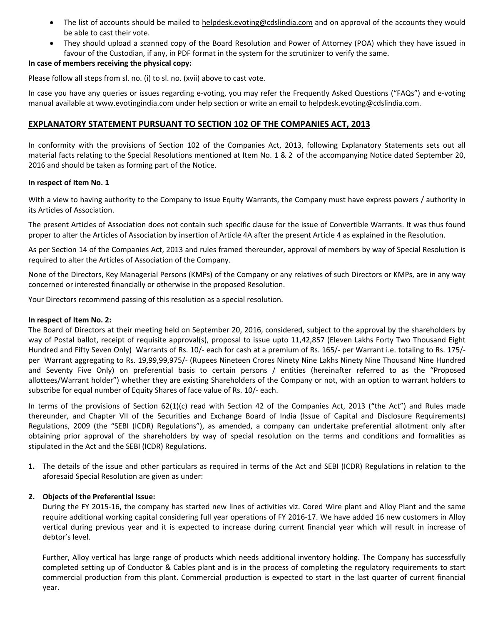- The list of accounts should be mailed to helpdesk.evoting@cdslindia.com and on approval of the accounts they would be able to cast their vote.
- They should upload a scanned copy of the Board Resolution and Power of Attorney (POA) which they have issued in favour of the Custodian, if any, in PDF format in the system for the scrutinizer to verify the same.

#### **In case of members receiving the physical copy:**

Please follow all steps from sl. no. (i) to sl. no. (xvii) above to cast vote.

In case you have any queries or issues regarding e-voting, you may refer the Frequently Asked Questions ("FAQs") and e-voting manual available at www.evotingindia.com under help section or write an email to helpdesk.evoting@cdslindia.com.

## **EXPLANATORY STATEMENT PURSUANT TO SECTION 102 OF THE COMPANIES ACT, 2013**

In conformity with the provisions of Section 102 of the Companies Act, 2013, following Explanatory Statements sets out all material facts relating to the Special Resolutions mentioned at Item No. 1 & 2 of the accompanying Notice dated September 20, 2016 and should be taken as forming part of the Notice.

#### **In respect of Item No. 1**

With a view to having authority to the Company to issue Equity Warrants, the Company must have express powers / authority in its Articles of Association.

The present Articles of Association does not contain such specific clause for the issue of Convertible Warrants. It was thus found proper to alter the Articles of Association by insertion of Article 4A after the present Article 4 as explained in the Resolution.

As per Section 14 of the Companies Act, 2013 and rules framed thereunder, approval of members by way of Special Resolution is required to alter the Articles of Association of the Company.

None of the Directors, Key Managerial Persons (KMPs) of the Company or any relatives of such Directors or KMPs, are in any way concerned or interested financially or otherwise in the proposed Resolution.

Your Directors recommend passing of this resolution as a special resolution.

#### **In respect of Item No. 2:**

The Board of Directors at their meeting held on September 20, 2016, considered, subject to the approval by the shareholders by way of Postal ballot, receipt of requisite approval(s), proposal to issue upto 11,42,857 (Eleven Lakhs Forty Two Thousand Eight Hundred and Fifty Seven Only) Warrants of Rs. 10/‐ each for cash at a premium of Rs. 165/‐ per Warrant i.e. totaling to Rs. 175/‐ per Warrant aggregating to Rs. 19,99,99,975/‐ (Rupees Nineteen Crores Ninety Nine Lakhs Ninety Nine Thousand Nine Hundred and Seventy Five Only) on preferential basis to certain persons / entities (hereinafter referred to as the "Proposed allottees/Warrant holder") whether they are existing Shareholders of the Company or not, with an option to warrant holders to subscribe for equal number of Equity Shares of face value of Rs. 10/‐ each.

In terms of the provisions of Section 62(1)(c) read with Section 42 of the Companies Act, 2013 ("the Act") and Rules made thereunder, and Chapter VII of the Securities and Exchange Board of India (Issue of Capital and Disclosure Requirements) Regulations, 2009 (the "SEBI (ICDR) Regulations"), as amended, a company can undertake preferential allotment only after obtaining prior approval of the shareholders by way of special resolution on the terms and conditions and formalities as stipulated in the Act and the SEBI (ICDR) Regulations.

**1.** The details of the issue and other particulars as required in terms of the Act and SEBI (ICDR) Regulations in relation to the aforesaid Special Resolution are given as under:

#### **2. Objects of the Preferential Issue:**

During the FY 2015‐16, the company has started new lines of activities viz. Cored Wire plant and Alloy Plant and the same require additional working capital considering full year operations of FY 2016‐17. We have added 16 new customers in Alloy vertical during previous year and it is expected to increase during current financial year which will result in increase of debtor's level.

Further, Alloy vertical has large range of products which needs additional inventory holding. The Company has successfully completed setting up of Conductor & Cables plant and is in the process of completing the regulatory requirements to start commercial production from this plant. Commercial production is expected to start in the last quarter of current financial year.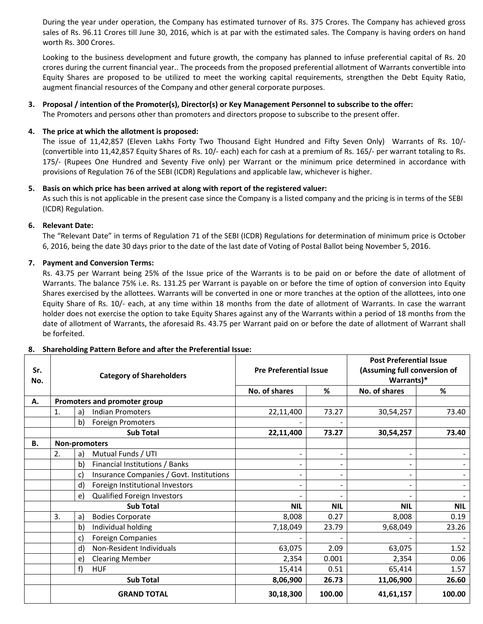During the year under operation, the Company has estimated turnover of Rs. 375 Crores. The Company has achieved gross sales of Rs. 96.11 Crores till June 30, 2016, which is at par with the estimated sales. The Company is having orders on hand worth Rs. 300 Crores.

Looking to the business development and future growth, the company has planned to infuse preferential capital of Rs. 20 crores during the current financial year.. The proceeds from the proposed preferential allotment of Warrants convertible into Equity Shares are proposed to be utilized to meet the working capital requirements, strengthen the Debt Equity Ratio, augment financial resources of the Company and other general corporate purposes.

### 3. Proposal / intention of the Promoter(s), Director(s) or Key Management Personnel to subscribe to the offer:

The Promoters and persons other than promoters and directors propose to subscribe to the present offer.

#### **4. The price at which the allotment is proposed:**

The issue of 11,42,857 (Eleven Lakhs Forty Two Thousand Eight Hundred and Fifty Seven Only) Warrants of Rs. 10/-(convertible into 11,42,857 Equity Shares of Rs. 10/‐ each) each for cash at a premium of Rs. 165/‐ per warrant totaling to Rs. 175/‐ (Rupees One Hundred and Seventy Five only) per Warrant or the minimum price determined in accordance with provisions of Regulation 76 of the SEBI (ICDR) Regulations and applicable law, whichever is higher.

#### **5. Basis on which price has been arrived at along with report of the registered valuer:**

As such this is not applicable in the present case since the Company is a listed company and the pricing is in terms of the SEBI (ICDR) Regulation.

#### **6. Relevant Date:**

The "Relevant Date" in terms of Regulation 71 of the SEBI (ICDR) Regulations for determination of minimum price is October 6, 2016, being the date 30 days prior to the date of the last date of Voting of Postal Ballot being November 5, 2016.

#### **7. Payment and Conversion Terms:**

Rs. 43.75 per Warrant being 25% of the Issue price of the Warrants is to be paid on or before the date of allotment of Warrants. The balance 75% i.e. Rs. 131.25 per Warrant is payable on or before the time of option of conversion into Equity Shares exercised by the allottees. Warrants will be converted in one or more tranches at the option of the allottees, into one Equity Share of Rs. 10/‐ each, at any time within 18 months from the date of allotment of Warrants. In case the warrant holder does not exercise the option to take Equity Shares against any of the Warrants within a period of 18 months from the date of allotment of Warrants, the aforesaid Rs. 43.75 per Warrant paid on or before the date of allotment of Warrant shall be forfeited.

| Sr.<br>No. | <b>Category of Shareholders</b> |                                                 | <b>Pre Preferential Issue</b> |                          | <b>Post Preferential Issue</b><br>(Assuming full conversion of<br>Warrants)* |            |
|------------|---------------------------------|-------------------------------------------------|-------------------------------|--------------------------|------------------------------------------------------------------------------|------------|
|            |                                 |                                                 | No. of shares                 | %                        | No. of shares                                                                | %          |
| А.         |                                 | Promoters and promoter group                    |                               |                          |                                                                              |            |
|            | 1.                              | <b>Indian Promoters</b><br>a)                   | 22,11,400                     | 73.27                    | 30,54,257                                                                    | 73.40      |
|            |                                 | Foreign Promoters<br>b)                         |                               |                          |                                                                              |            |
|            |                                 | <b>Sub Total</b>                                | 22,11,400                     | 73.27                    | 30,54,257                                                                    | 73.40      |
| <b>B.</b>  |                                 | Non-promoters                                   |                               |                          |                                                                              |            |
|            | 2.                              | Mutual Funds / UTI<br>a)                        | $\overline{\phantom{0}}$      | $\overline{\phantom{a}}$ |                                                                              |            |
|            |                                 | b)<br>Financial Institutions / Banks            | $\qquad \qquad \blacksquare$  | $\overline{\phantom{a}}$ |                                                                              |            |
|            |                                 | Insurance Companies / Govt. Institutions<br>c)  | $\overline{\phantom{0}}$      | $\overline{\phantom{a}}$ |                                                                              |            |
|            |                                 | Foreign Institutional Investors<br>$\mathsf{d}$ | -                             |                          |                                                                              |            |
|            |                                 | Qualified Foreign Investors<br>e)               |                               |                          |                                                                              |            |
|            | <b>Sub Total</b>                |                                                 | <b>NIL</b>                    | <b>NIL</b>               | <b>NIL</b>                                                                   | <b>NIL</b> |
|            | 3.                              | <b>Bodies Corporate</b><br>a)                   | 8,008                         | 0.27                     | 8,008                                                                        | 0.19       |
|            |                                 | b)<br>Individual holding                        | 7,18,049                      | 23.79                    | 9,68,049                                                                     | 23.26      |
|            |                                 | <b>Foreign Companies</b><br>C)                  |                               |                          |                                                                              |            |
|            |                                 | Non-Resident Individuals<br>d)                  | 63,075                        | 2.09                     | 63,075                                                                       | 1.52       |
|            |                                 | <b>Clearing Member</b><br>e)                    | 2,354                         | 0.001                    | 2,354                                                                        | 0.06       |
|            |                                 | f)<br><b>HUF</b>                                | 15,414                        | 0.51                     | 65,414                                                                       | 1.57       |
|            |                                 | <b>Sub Total</b>                                | 8,06,900                      | 26.73                    | 11,06,900                                                                    | 26.60      |
|            |                                 | <b>GRAND TOTAL</b>                              | 30,18,300                     | 100.00                   | 41,61,157                                                                    | 100.00     |

#### **8. Shareholding Pattern Before and after the Preferential Issue:**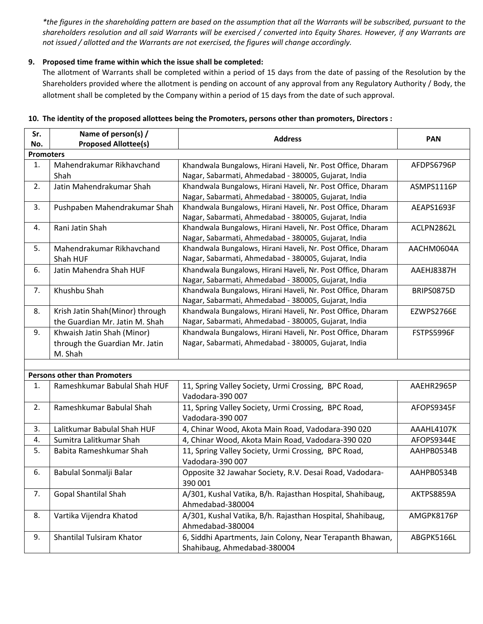\*the figures in the shareholding pattern are based on the assumption that all the Warrants will be subscribed, pursuant to the shareholders resolution and all said Warrants will be exercised / converted into Equity Shares. However, if any Warrants are *not issued / allotted and the Warrants are not exercised, the figures will change accordingly.*

#### **9. Proposed time frame within which the issue shall be completed:**

The allotment of Warrants shall be completed within a period of 15 days from the date of passing of the Resolution by the Shareholders provided where the allotment is pending on account of any approval from any Regulatory Authority / Body, the allotment shall be completed by the Company within a period of 15 days from the date of such approval.

| Sr.              | Name of person(s) /                 | <b>Address</b>                                              | <b>PAN</b> |  |  |  |
|------------------|-------------------------------------|-------------------------------------------------------------|------------|--|--|--|
| No.              | <b>Proposed Allottee(s)</b>         |                                                             |            |  |  |  |
| <b>Promoters</b> |                                     |                                                             |            |  |  |  |
| 1.               | Mahendrakumar Rikhavchand           | Khandwala Bungalows, Hirani Haveli, Nr. Post Office, Dharam | AFDPS6796P |  |  |  |
|                  | Shah                                | Nagar, Sabarmati, Ahmedabad - 380005, Gujarat, India        |            |  |  |  |
| 2.               | Jatin Mahendrakumar Shah            | Khandwala Bungalows, Hirani Haveli, Nr. Post Office, Dharam | ASMPS1116P |  |  |  |
|                  |                                     | Nagar, Sabarmati, Ahmedabad - 380005, Gujarat, India        |            |  |  |  |
| 3.               | Pushpaben Mahendrakumar Shah        | Khandwala Bungalows, Hirani Haveli, Nr. Post Office, Dharam | AEAPS1693F |  |  |  |
|                  |                                     | Nagar, Sabarmati, Ahmedabad - 380005, Gujarat, India        |            |  |  |  |
| 4.               | Rani Jatin Shah                     | Khandwala Bungalows, Hirani Haveli, Nr. Post Office, Dharam | ACLPN2862L |  |  |  |
|                  |                                     | Nagar, Sabarmati, Ahmedabad - 380005, Gujarat, India        |            |  |  |  |
| 5.               | Mahendrakumar Rikhavchand           | Khandwala Bungalows, Hirani Haveli, Nr. Post Office, Dharam | AACHM0604A |  |  |  |
|                  | Shah HUF                            | Nagar, Sabarmati, Ahmedabad - 380005, Gujarat, India        |            |  |  |  |
| 6.               | Jatin Mahendra Shah HUF             | Khandwala Bungalows, Hirani Haveli, Nr. Post Office, Dharam | AAEHJ8387H |  |  |  |
|                  |                                     | Nagar, Sabarmati, Ahmedabad - 380005, Gujarat, India        |            |  |  |  |
| 7.               | Khushbu Shah                        | Khandwala Bungalows, Hirani Haveli, Nr. Post Office, Dharam | BRIPS0875D |  |  |  |
|                  |                                     | Nagar, Sabarmati, Ahmedabad - 380005, Gujarat, India        |            |  |  |  |
| 8.               | Krish Jatin Shah(Minor) through     | Khandwala Bungalows, Hirani Haveli, Nr. Post Office, Dharam | EZWPS2766E |  |  |  |
|                  | the Guardian Mr. Jatin M. Shah      | Nagar, Sabarmati, Ahmedabad - 380005, Gujarat, India        |            |  |  |  |
| 9.               | Khwaish Jatin Shah (Minor)          | Khandwala Bungalows, Hirani Haveli, Nr. Post Office, Dharam | FSTPS5996F |  |  |  |
|                  | through the Guardian Mr. Jatin      | Nagar, Sabarmati, Ahmedabad - 380005, Gujarat, India        |            |  |  |  |
|                  | M. Shah                             |                                                             |            |  |  |  |
|                  |                                     |                                                             |            |  |  |  |
|                  | <b>Persons other than Promoters</b> |                                                             |            |  |  |  |
| 1.               | Rameshkumar Babulal Shah HUF        | 11, Spring Valley Society, Urmi Crossing, BPC Road,         | AAEHR2965P |  |  |  |
|                  |                                     | Vadodara-390 007                                            |            |  |  |  |
| 2.               | Rameshkumar Babulal Shah            | 11, Spring Valley Society, Urmi Crossing, BPC Road,         | AFOPS9345F |  |  |  |
|                  |                                     | Vadodara-390 007                                            |            |  |  |  |
| 3.               | Lalitkumar Babulal Shah HUF         | 4, Chinar Wood, Akota Main Road, Vadodara-390 020           | AAAHL4107K |  |  |  |
| 4.               | Sumitra Lalitkumar Shah             | 4, Chinar Wood, Akota Main Road, Vadodara-390 020           | AFOPS9344E |  |  |  |
| 5.               | Babita Rameshkumar Shah             | 11, Spring Valley Society, Urmi Crossing, BPC Road,         | AAHPB0534B |  |  |  |
|                  |                                     | Vadodara-390 007                                            |            |  |  |  |
| 6.               | Babulal Sonmalji Balar              | Opposite 32 Jawahar Society, R.V. Desai Road, Vadodara-     | AAHPB0534B |  |  |  |
|                  |                                     | 390 001                                                     |            |  |  |  |
| 7.               | <b>Gopal Shantilal Shah</b>         | A/301, Kushal Vatika, B/h. Rajasthan Hospital, Shahibaug,   | AKTPS8859A |  |  |  |
|                  |                                     | Ahmedabad-380004                                            |            |  |  |  |
| 8.               | Vartika Vijendra Khatod             | A/301, Kushal Vatika, B/h. Rajasthan Hospital, Shahibaug,   | AMGPK8176P |  |  |  |
|                  |                                     | Ahmedabad-380004                                            |            |  |  |  |
| 9.               | Shantilal Tulsiram Khator           | 6, Siddhi Apartments, Jain Colony, Near Terapanth Bhawan,   | ABGPK5166L |  |  |  |
|                  |                                     | Shahibaug, Ahmedabad-380004                                 |            |  |  |  |

#### **10. The identity of the proposed allottees being the Promoters, persons other than promoters, Directors :**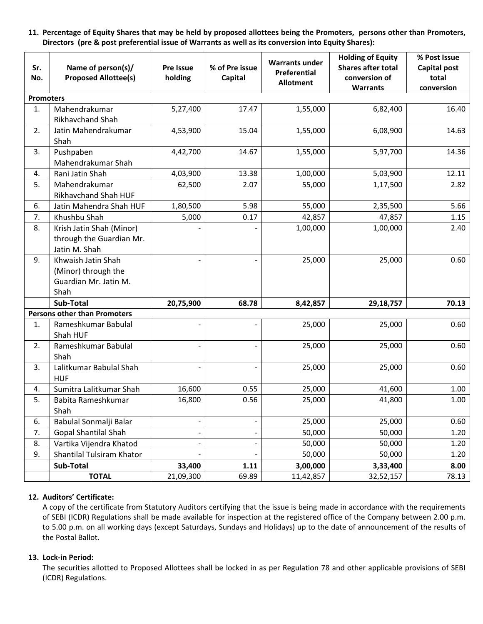11. Percentage of Equity Shares that may be held by proposed allottees being the Promoters, persons other than Promoters, **Directors (pre & post preferential issue of Warrants as well as its conversion into Equity Shares):**

| Sr.<br>No.                          | Name of person(s)/<br><b>Proposed Allottee(s)</b>                          | Pre Issue<br>holding         | % of Pre issue<br>Capital | <b>Warrants under</b><br>Preferential<br><b>Allotment</b> | <b>Holding of Equity</b><br><b>Shares after total</b><br>conversion of<br><b>Warrants</b> | % Post Issue<br>Capital post<br>total<br>conversion |
|-------------------------------------|----------------------------------------------------------------------------|------------------------------|---------------------------|-----------------------------------------------------------|-------------------------------------------------------------------------------------------|-----------------------------------------------------|
| <b>Promoters</b>                    |                                                                            |                              |                           |                                                           |                                                                                           |                                                     |
| $\mathbf{1}$ .                      | Mahendrakumar<br>Rikhavchand Shah                                          | 5,27,400                     | 17.47                     | 1,55,000                                                  | 6,82,400                                                                                  | 16.40                                               |
| 2.                                  | Jatin Mahendrakumar<br>Shah                                                | 4,53,900                     | 15.04                     | 1,55,000                                                  | 6,08,900                                                                                  | 14.63                                               |
| 3.                                  | Pushpaben<br>Mahendrakumar Shah                                            | 4,42,700                     | 14.67                     | 1,55,000                                                  | 5,97,700                                                                                  | 14.36                                               |
| 4.                                  | Rani Jatin Shah                                                            | 4,03,900                     | 13.38                     | 1,00,000                                                  | 5,03,900                                                                                  | 12.11                                               |
| 5.                                  | Mahendrakumar<br><b>Rikhavchand Shah HUF</b>                               | 62,500                       | 2.07                      | 55,000                                                    | 1,17,500                                                                                  | 2.82                                                |
| 6.                                  | Jatin Mahendra Shah HUF                                                    | 1,80,500                     | 5.98                      | 55,000                                                    | 2,35,500                                                                                  | 5.66                                                |
| 7.                                  | Khushbu Shah                                                               | 5,000                        | 0.17                      | 42,857                                                    | 47,857                                                                                    | 1.15                                                |
| 8.                                  | Krish Jatin Shah (Minor)<br>through the Guardian Mr.<br>Jatin M. Shah      |                              |                           | 1,00,000                                                  | 1,00,000                                                                                  | 2.40                                                |
| 9.                                  | Khwaish Jatin Shah<br>(Minor) through the<br>Guardian Mr. Jatin M.<br>Shah |                              |                           | 25,000                                                    | 25,000                                                                                    | 0.60                                                |
|                                     | <b>Sub-Total</b>                                                           | 20,75,900                    | 68.78                     | 8,42,857                                                  | 29,18,757                                                                                 | 70.13                                               |
| <b>Persons other than Promoters</b> |                                                                            |                              |                           |                                                           |                                                                                           |                                                     |
| 1.                                  | Rameshkumar Babulal<br>Shah HUF                                            |                              |                           | 25,000                                                    | 25,000                                                                                    | 0.60                                                |
| 2.                                  | Rameshkumar Babulal<br>Shah                                                |                              |                           | 25,000                                                    | 25,000                                                                                    | 0.60                                                |
| 3.                                  | Lalitkumar Babulal Shah<br><b>HUF</b>                                      |                              |                           | 25,000                                                    | 25,000                                                                                    | 0.60                                                |
| 4.                                  | Sumitra Lalitkumar Shah                                                    | 16,600                       | 0.55                      | 25,000                                                    | 41,600                                                                                    | 1.00                                                |
| 5.                                  | Babita Rameshkumar<br>Shah                                                 | 16,800                       | 0.56                      | 25,000                                                    | 41,800                                                                                    | 1.00                                                |
| 6.                                  | Babulal Sonmalji Balar                                                     | $\qquad \qquad \blacksquare$ | ÷,                        | 25,000                                                    | 25,000                                                                                    | 0.60                                                |
| 7.                                  | <b>Gopal Shantilal Shah</b>                                                | -                            | -                         | 50,000                                                    | 50,000                                                                                    | 1.20                                                |
| 8.                                  | Vartika Vijendra Khatod                                                    | -                            | ÷                         | 50,000                                                    | 50,000                                                                                    | 1.20                                                |
| 9.                                  | Shantilal Tulsiram Khator                                                  |                              |                           | 50,000                                                    | 50,000                                                                                    | 1.20                                                |
|                                     | Sub-Total                                                                  | 33,400                       | 1.11                      | 3,00,000                                                  | 3,33,400                                                                                  | 8.00                                                |
|                                     | <b>TOTAL</b>                                                               | 21,09,300                    | 69.89                     | 11,42,857                                                 | 32,52,157                                                                                 | 78.13                                               |

#### **12. Auditors' Certificate:**

A copy of the certificate from Statutory Auditors certifying that the issue is being made in accordance with the requirements of SEBI (ICDR) Regulations shall be made available for inspection at the registered office of the Company between 2.00 p.m. to 5.00 p.m. on all working days (except Saturdays, Sundays and Holidays) up to the date of announcement of the results of the Postal Ballot.

#### **13. Lock‐in Period:**

The securities allotted to Proposed Allottees shall be locked in as per Regulation 78 and other applicable provisions of SEBI (ICDR) Regulations.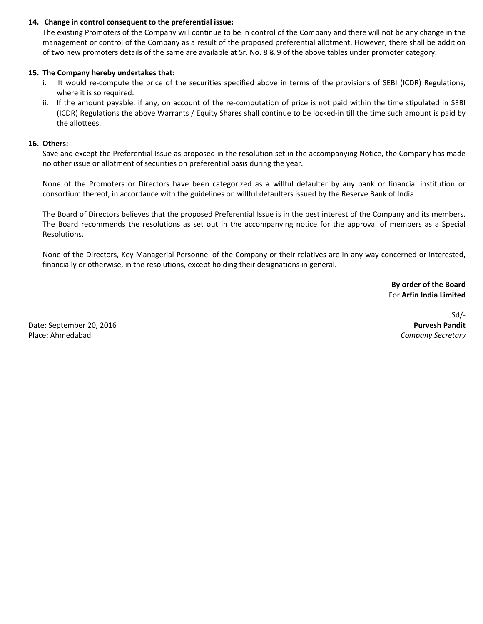#### **14. Change in control consequent to the preferential issue:**

The existing Promoters of the Company will continue to be in control of the Company and there will not be any change in the management or control of the Company as a result of the proposed preferential allotment. However, there shall be addition of two new promoters details of the same are available at Sr. No. 8 & 9 of the above tables under promoter category.

#### **15. The Company hereby undertakes that:**

- i. It would re‐compute the price of the securities specified above in terms of the provisions of SEBI (ICDR) Regulations, where it is so required.
- ii. If the amount payable, if any, on account of the re‐computation of price is not paid within the time stipulated in SEBI (ICDR) Regulations the above Warrants / Equity Shares shall continue to be locked‐in till the time such amount is paid by the allottees.

#### **16. Others:**

Save and except the Preferential Issue as proposed in the resolution set in the accompanying Notice, the Company has made no other issue or allotment of securities on preferential basis during the year.

None of the Promoters or Directors have been categorized as a willful defaulter by any bank or financial institution or consortium thereof, in accordance with the guidelines on willful defaulters issued by the Reserve Bank of India

The Board of Directors believes that the proposed Preferential Issue is in the best interest of the Company and its members. The Board recommends the resolutions as set out in the accompanying notice for the approval of members as a Special Resolutions.

None of the Directors, Key Managerial Personnel of the Company or their relatives are in any way concerned or interested, financially or otherwise, in the resolutions, except holding their designations in general.

> **By order of the Board** For **Arfin India Limited**

Date: September 20, 2016 Place: Ahmedabad

Sd/‐ **Purvesh Pandit** *Company Secretary*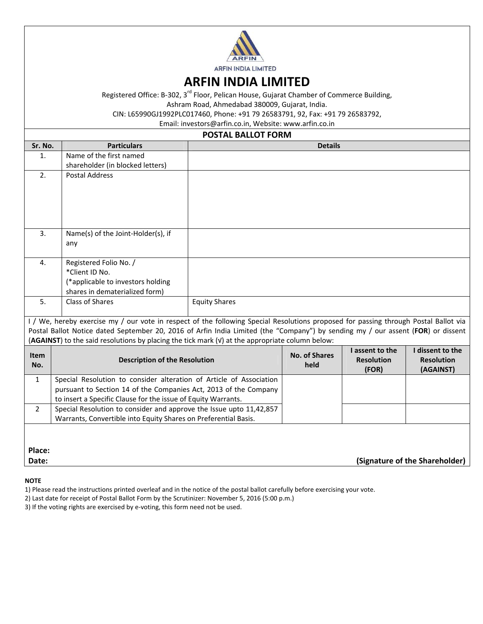

## **ARFIN INDIA LIMITED**

Registered Office: B-302, 3<sup>rd</sup> Floor, Pelican House, Gujarat Chamber of Commerce Building,

Ashram Road, Ahmedabad 380009, Gujarat, India.

CIN: L65990GJ1992PLC017460, Phone: +91 79 26583791, 92, Fax: +91 79 26583792,

Email: investors@arfin.co.in, Website: www.arfin.co.in

## **POSTAL BALLOT FORM**

| Sr. No.                                                                                                                                                                                                                             | <b>Particulars</b>                                                  |                      | <b>Details</b> |                   |                                |
|-------------------------------------------------------------------------------------------------------------------------------------------------------------------------------------------------------------------------------------|---------------------------------------------------------------------|----------------------|----------------|-------------------|--------------------------------|
| $\mathbf{1}$ .                                                                                                                                                                                                                      | Name of the first named                                             |                      |                |                   |                                |
|                                                                                                                                                                                                                                     | shareholder (in blocked letters)                                    |                      |                |                   |                                |
| 2.                                                                                                                                                                                                                                  | <b>Postal Address</b>                                               |                      |                |                   |                                |
|                                                                                                                                                                                                                                     |                                                                     |                      |                |                   |                                |
|                                                                                                                                                                                                                                     |                                                                     |                      |                |                   |                                |
|                                                                                                                                                                                                                                     |                                                                     |                      |                |                   |                                |
|                                                                                                                                                                                                                                     |                                                                     |                      |                |                   |                                |
| 3.                                                                                                                                                                                                                                  | Name(s) of the Joint-Holder(s), if                                  |                      |                |                   |                                |
|                                                                                                                                                                                                                                     | any                                                                 |                      |                |                   |                                |
|                                                                                                                                                                                                                                     |                                                                     |                      |                |                   |                                |
| 4.                                                                                                                                                                                                                                  | Registered Folio No. /                                              |                      |                |                   |                                |
|                                                                                                                                                                                                                                     | *Client ID No.                                                      |                      |                |                   |                                |
|                                                                                                                                                                                                                                     | (*applicable to investors holding                                   |                      |                |                   |                                |
|                                                                                                                                                                                                                                     | shares in dematerialized form)                                      |                      |                |                   |                                |
| 5.<br><b>Class of Shares</b><br><b>Equity Shares</b>                                                                                                                                                                                |                                                                     |                      |                |                   |                                |
| I / We, hereby exercise my / our vote in respect of the following Special Resolutions proposed for passing through Postal Ballot via                                                                                                |                                                                     |                      |                |                   |                                |
|                                                                                                                                                                                                                                     |                                                                     |                      |                |                   |                                |
| Postal Ballot Notice dated September 20, 2016 of Arfin India Limited (the "Company") by sending my / our assent (FOR) or dissent<br>(AGAINST) to the said resolutions by placing the tick mark (v) at the appropriate column below: |                                                                     |                      |                |                   |                                |
|                                                                                                                                                                                                                                     |                                                                     |                      |                | I assent to the   | I dissent to the               |
| <b>Item</b>                                                                                                                                                                                                                         | <b>Description of the Resolution</b>                                | <b>No. of Shares</b> |                | <b>Resolution</b> | <b>Resolution</b>              |
| No.                                                                                                                                                                                                                                 |                                                                     |                      | held           | (FOR)             | (AGAINST)                      |
| $\mathbf{1}$                                                                                                                                                                                                                        | Special Resolution to consider alteration of Article of Association |                      |                |                   |                                |
|                                                                                                                                                                                                                                     | pursuant to Section 14 of the Companies Act, 2013 of the Company    |                      |                |                   |                                |
|                                                                                                                                                                                                                                     | to insert a Specific Clause for the issue of Equity Warrants.       |                      |                |                   |                                |
| $\overline{2}$                                                                                                                                                                                                                      | Special Resolution to consider and approve the Issue upto 11,42,857 |                      |                |                   |                                |
|                                                                                                                                                                                                                                     | Warrants, Convertible into Equity Shares on Preferential Basis.     |                      |                |                   |                                |
|                                                                                                                                                                                                                                     |                                                                     |                      |                |                   |                                |
|                                                                                                                                                                                                                                     |                                                                     |                      |                |                   |                                |
| Place:                                                                                                                                                                                                                              |                                                                     |                      |                |                   |                                |
| Date:                                                                                                                                                                                                                               |                                                                     |                      |                |                   | (Signature of the Shareholder) |

#### **NOTE**

1) Please read the instructions printed overleaf and in the notice of the postal ballot carefully before exercising your vote.

2) Last date for receipt of Postal Ballot Form by the Scrutinizer: November 5, 2016 (5:00 p.m.)

3) If the voting rights are exercised by e-voting, this form need not be used.